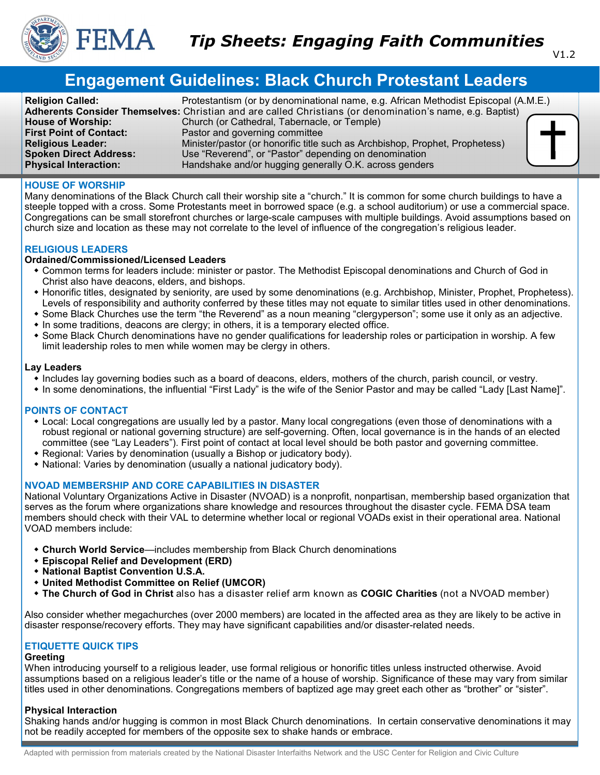

# **Engagement Guidelines: Black Church Protestant Leaders**

| <b>Religion Called:</b>        | Protestantism (or by denominational name, e.g. African Methodist Episcopal (A.M.E.)                       |
|--------------------------------|-----------------------------------------------------------------------------------------------------------|
|                                | Adherents Consider Themselves: Christian and are called Christians (or denomination's name, e.g. Baptist) |
| <b>House of Worship:</b>       | Church (or Cathedral, Tabernacle, or Temple)                                                              |
| <b>First Point of Contact:</b> | Pastor and governing committee                                                                            |
| <b>Religious Leader:</b>       | Minister/pastor (or honorific title such as Archbishop, Prophet, Prophetess)                              |
| <b>Spoken Direct Address:</b>  | Use "Reverend", or "Pastor" depending on denomination                                                     |
| <b>Physical Interaction:</b>   | Handshake and/or hugging generally O.K. across genders                                                    |

#### **HOUSE OF WORSHIP**

Many denominations of the Black Church call their worship site a "church." It is common for some church buildings to have a steeple topped with a cross. Some Protestants meet in borrowed space (e.g. a school auditorium) or use a commercial space. Congregations can be small storefront churches or large-scale campuses with multiple buildings. Avoid assumptions based on church size and location as these may not correlate to the level of influence of the congregation's religious leader.

## **RELIGIOUS LEADERS**

#### **Ordained/Commissioned/Licensed Leaders**

- Common terms for leaders include: minister or pastor. The Methodist Episcopal denominations and Church of God in Christ also have deacons, elders, and bishops.
- Honorific titles, designated by seniority, are used by some denominations (e.g. Archbishop, Minister, Prophet, Prophetess). Levels of responsibility and authority conferred by these titles may not equate to similar titles used in other denominations.
- Some Black Churches use the term "the Reverend" as a noun meaning "clergyperson"; some use it only as an adjective.
- In some traditions, deacons are clergy; in others, it is a temporary elected office.
- Some Black Church denominations have no gender qualifications for leadership roles or participation in worship. A few limit leadership roles to men while women may be clergy in others.

#### **Lay Leaders**

- Includes lay governing bodies such as a board of deacons, elders, mothers of the church, parish council, or vestry.
- In some denominations, the influential "First Lady" is the wife of the Senior Pastor and may be called "Lady [Last Name]".

## **POINTS OF CONTACT**

- Local: Local congregations are usually led by a pastor. Many local congregations (even those of denominations with a robust regional or national governing structure) are self-governing. Often, local governance is in the hands of an elected committee (see "Lay Leaders"). First point of contact at local level should be both pastor and governing committee.
- Regional: Varies by denomination (usually a Bishop or judicatory body).
- National: Varies by denomination (usually a national judicatory body).

## **NVOAD MEMBERSHIP AND CORE CAPABILITIES IN DISASTER**

National Voluntary Organizations Active in Disaster (NVOAD) is a nonprofit, nonpartisan, membership based organization that serves as the forum where organizations share knowledge and resources throughout the disaster cycle. FEMA DSA team members should check with their VAL to determine whether local or regional VOADs exist in their operational area. National VOAD members include:

- **Church World Service**—includes membership from Black Church denominations
- **Episcopal Relief and Development (ERD)**
- **National Baptist Convention U.S.A.**
- **United Methodist Committee on Relief (UMCOR)**
- **The Church of God in Christ** also has a disaster relief arm known as **COGIC Charities** (not a NVOAD member)

Also consider whether megachurches (over 2000 members) are located in the affected area as they are likely to be active in disaster response/recovery efforts. They may have significant capabilities and/or disaster-related needs.

# **ETIQUETTE QUICK TIPS**

# **Greeting**

When introducing yourself to a religious leader, use formal religious or honorific titles unless instructed otherwise. Avoid assumptions based on a religious leader's title or the name of a house of worship. Significance of these may vary from similar titles used in other denominations. Congregations members of baptized age may greet each other as "brother" or "sister".

## **Physical Interaction**

Shaking hands and/or hugging is common in most Black Church denominations. In certain conservative denominations it may not be readily accepted for members of the opposite sex to shake hands or embrace.